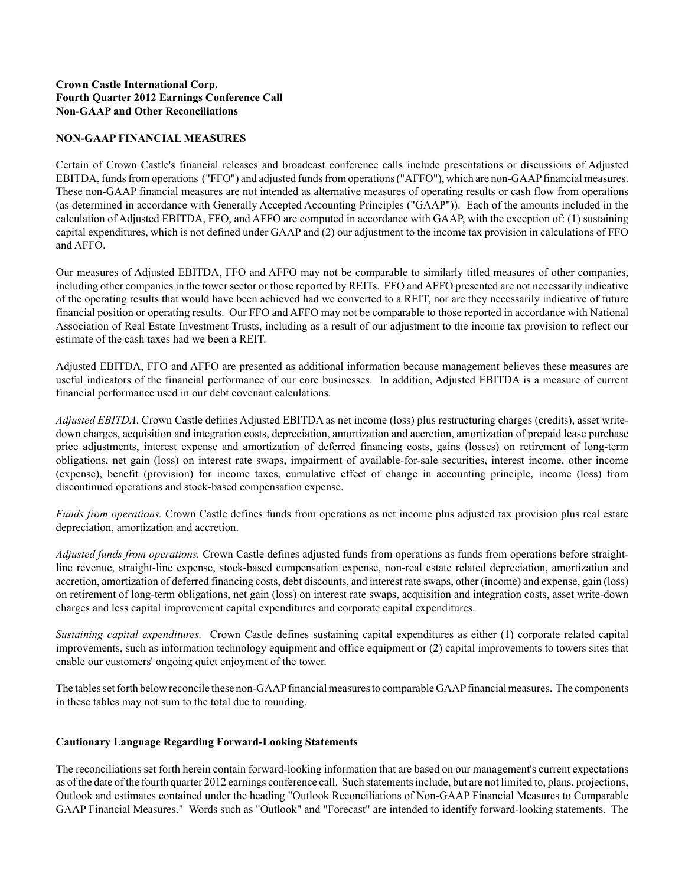### **Crown Castle International Corp. Fourth Quarter 2012 Earnings Conference Call Non-GAAP and Other Reconciliations**

#### **NON-GAAP FINANCIAL MEASURES**

Certain of Crown Castle's financial releases and broadcast conference calls include presentations or discussions of Adjusted EBITDA, funds from operations ("FFO") and adjusted funds from operations ("AFFO"), which are non-GAAPfinancial measures. These non-GAAP financial measures are not intended as alternative measures of operating results or cash flow from operations (as determined in accordance with Generally Accepted Accounting Principles ("GAAP")). Each of the amounts included in the calculation of Adjusted EBITDA, FFO, and AFFO are computed in accordance with GAAP, with the exception of: (1) sustaining capital expenditures, which is not defined under GAAPand (2) our adjustment to the income tax provision in calculations of FFO and AFFO.

Our measures of Adjusted EBITDA, FFO and AFFO may not be comparable to similarly titled measures of other companies, including other companies in the tower sector or those reported by REITs. FFO and AFFO presented are not necessarily indicative of the operating results that would have been achieved had we converted to a REIT, nor are they necessarily indicative of future financial position or operating results. Our FFO and AFFO may not be comparable to those reported in accordance with National Association of Real Estate Investment Trusts, including as a result of our adjustment to the income tax provision to reflect our estimate of the cash taxes had we been a REIT.

Adjusted EBITDA, FFO and AFFO are presented as additional information because management believes these measures are useful indicators of the financial performance of our core businesses. In addition, Adjusted EBITDA is a measure of current financial performance used in our debt covenant calculations.

*Adjusted EBITDA*. Crown Castle defines Adjusted EBITDA as net income (loss) plus restructuring charges (credits), asset writedown charges, acquisition and integration costs, depreciation, amortization and accretion, amortization of prepaid lease purchase price adjustments, interest expense and amortization of deferred financing costs, gains (losses) on retirement of long-term obligations, net gain (loss) on interest rate swaps, impairment of available-for-sale securities, interest income, other income (expense), benefit (provision) for income taxes, cumulative effect of change in accounting principle, income (loss) from discontinued operations and stock-based compensation expense.

*Funds from operations.* Crown Castle defines funds from operations as net income plus adjusted tax provision plus real estate depreciation, amortization and accretion.

*Adjusted funds from operations.* Crown Castle defines adjusted funds from operations as funds from operations before straightline revenue, straight-line expense, stock-based compensation expense, non-real estate related depreciation, amortization and accretion, amortization of deferred financing costs, debt discounts, and interest rate swaps, other (income) and expense, gain (loss) on retirement of long-term obligations, net gain (loss) on interest rate swaps, acquisition and integration costs, asset write-down charges and less capital improvement capital expenditures and corporate capital expenditures.

*Sustaining capital expenditures.* Crown Castle defines sustaining capital expenditures as either (1) corporate related capital improvements, such as information technology equipment and office equipment or (2) capital improvements to towers sites that enable our customers' ongoing quiet enjoyment of the tower.

The tables set forth below reconcile these non-GAAPfinancial measures to comparable GAAPfinancial measures. The components in these tables may not sum to the total due to rounding.

#### **Cautionary Language Regarding Forward-Looking Statements**

The reconciliations set forth herein contain forward-looking information that are based on our management's current expectations as of the date of the fourth quarter 2012 earnings conference call. Such statements include, but are not limited to, plans, projections, Outlook and estimates contained under the heading "Outlook Reconciliations of Non-GAAP Financial Measures to Comparable GAAP Financial Measures." Words such as "Outlook" and "Forecast" are intended to identify forward-looking statements. The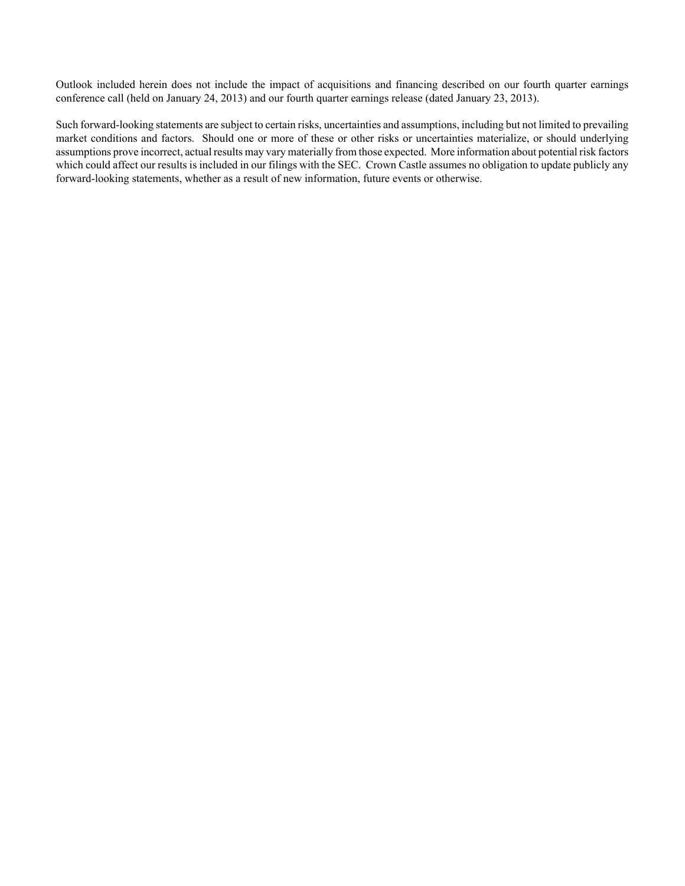Outlook included herein does not include the impact of acquisitions and financing described on our fourth quarter earnings conference call (held on January 24, 2013) and our fourth quarter earnings release (dated January 23, 2013).

Such forward-looking statements are subject to certain risks, uncertainties and assumptions, including but not limited to prevailing market conditions and factors. Should one or more of these or other risks or uncertainties materialize, or should underlying assumptions prove incorrect, actual results may vary materially from those expected. More information about potential risk factors which could affect our results is included in our filings with the SEC. Crown Castle assumes no obligation to update publicly any forward-looking statements, whether as a result of new information, future events or otherwise.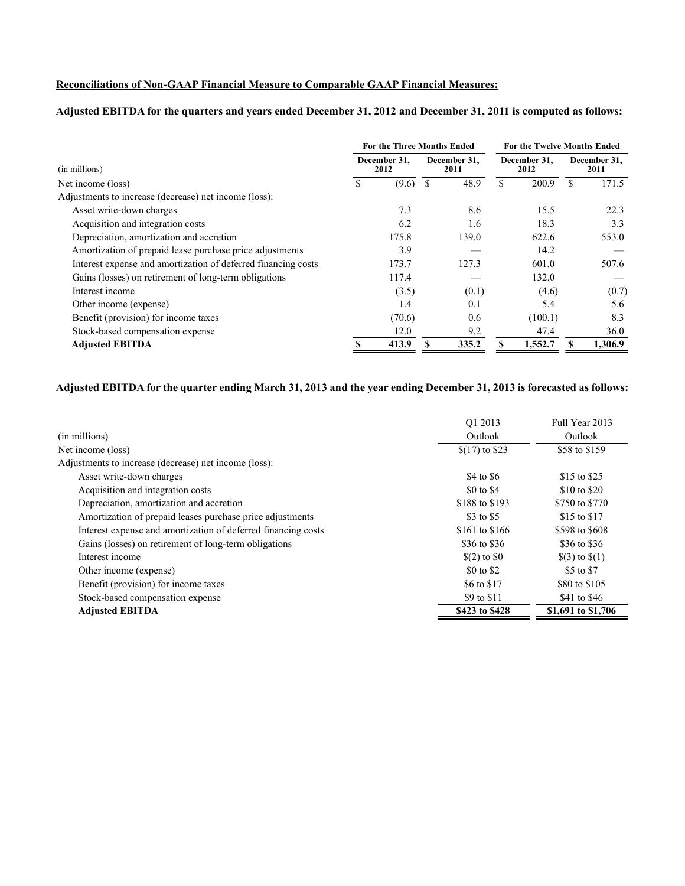### **Reconciliations of Non-GAAP Financial Measure to Comparable GAAP Financial Measures:**

## **Adjusted EBITDA for the quarters and years ended December 31, 2012 and December 31, 2011 is computed as follows:**

|                                                               |  | <b>For the Three Months Ended</b> |   |                      |    | <b>For the Twelve Months Ended</b> |   |                      |  |
|---------------------------------------------------------------|--|-----------------------------------|---|----------------------|----|------------------------------------|---|----------------------|--|
| (in millions)                                                 |  | December 31.<br>2012              |   | December 31.<br>2011 |    | December 31.<br>2012               |   | December 31,<br>2011 |  |
| Net income (loss)                                             |  | (9.6)                             | S | 48.9                 | \$ | 200.9                              | S | 171.5                |  |
| Adjustments to increase (decrease) net income (loss):         |  |                                   |   |                      |    |                                    |   |                      |  |
| Asset write-down charges                                      |  | 7.3                               |   | 8.6                  |    | 15.5                               |   | 22.3                 |  |
| Acquisition and integration costs                             |  | 6.2                               |   | 1.6                  |    | 18.3                               |   | 3.3                  |  |
| Depreciation, amortization and accretion                      |  | 175.8                             |   | 139.0                |    | 622.6                              |   | 553.0                |  |
| Amortization of prepaid lease purchase price adjustments      |  | 3.9                               |   |                      |    | 14.2                               |   |                      |  |
| Interest expense and amortization of deferred financing costs |  | 173.7                             |   | 127.3                |    | 601.0                              |   | 507.6                |  |
| Gains (losses) on retirement of long-term obligations         |  | 117.4                             |   |                      |    | 132.0                              |   |                      |  |
| Interest income                                               |  | (3.5)                             |   | (0.1)                |    | (4.6)                              |   | (0.7)                |  |
| Other income (expense)                                        |  | 1.4                               |   | 0.1                  |    | 5.4                                |   | 5.6                  |  |
| Benefit (provision) for income taxes                          |  | (70.6)                            |   | 0.6                  |    | (100.1)                            |   | 8.3                  |  |
| Stock-based compensation expense                              |  | 12.0                              |   | 9.2                  |    | 47.4                               |   | 36.0                 |  |
| <b>Adjusted EBITDA</b>                                        |  | 413.9                             | S | 335.2                |    | 1,552.7                            |   | 1,306.9              |  |

## **Adjusted EBITDA for the quarter ending March 31, 2013 and the year ending December 31, 2013 is forecasted as follows:**

| (in millions)                                                 | O1 2013<br>Outlook | Full Year 2013<br>Outlook |
|---------------------------------------------------------------|--------------------|---------------------------|
| Net income (loss)                                             | $$(17)$ to \$23    | \$58 to \$159             |
| Adjustments to increase (decrease) net income (loss):         |                    |                           |
| Asset write-down charges                                      | \$4 to \$6         | \$15 to \$25              |
| Acquisition and integration costs                             | \$0 to \$4         | \$10 to \$20              |
| Depreciation, amortization and accretion                      | \$188 to \$193     | \$750 to \$770            |
| Amortization of prepaid leases purchase price adjustments     | \$3 to \$5         | \$15 to \$17              |
| Interest expense and amortization of deferred financing costs | \$161 to \$166     | \$598 to \$608            |
| Gains (losses) on retirement of long-term obligations         | \$36 to \$36       | \$36 to \$36              |
| Interest income                                               | $$(2)$ to $$0$     | $\$(3)$ to $\$(1)$        |
| Other income (expense)                                        | \$0 to \$2         | \$5 to \$7                |
| Benefit (provision) for income taxes                          | \$6 to \$17        | \$80 to \$105             |
| Stock-based compensation expense                              | \$9 to \$11        | \$41 to \$46              |
| <b>Adjusted EBITDA</b>                                        | \$423 to \$428     | \$1,691 to \$1,706        |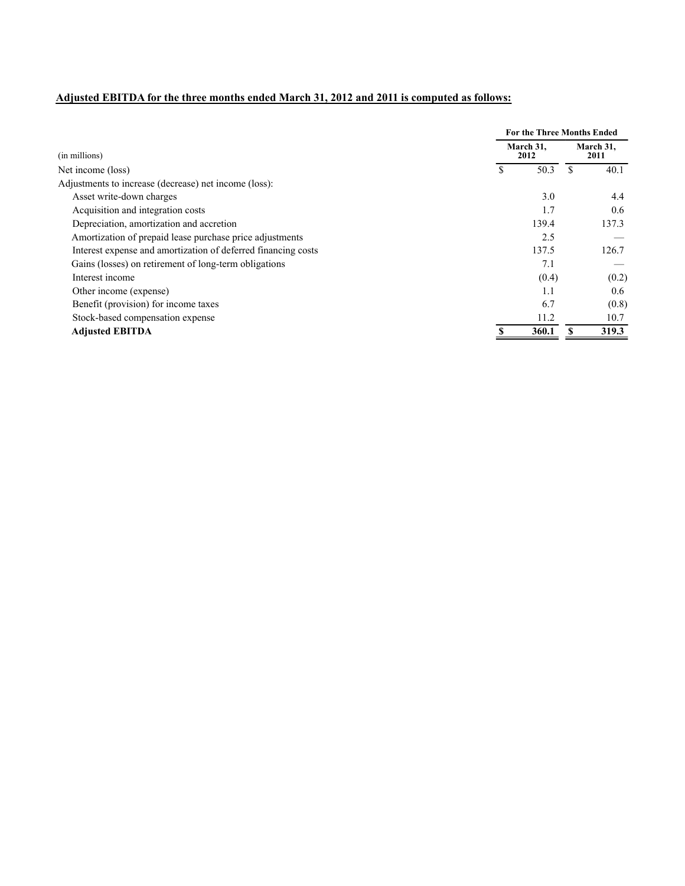# **Adjusted EBITDA for the three months ended March 31, 2012 and 2011 is computed as follows:**

|                                                               |                   | <b>For the Three Months Ended</b> |  |  |  |  |
|---------------------------------------------------------------|-------------------|-----------------------------------|--|--|--|--|
| (in millions)                                                 | March 31.<br>2012 | March 31,<br>2011                 |  |  |  |  |
| Net income (loss)                                             | 50.3              | 40.1                              |  |  |  |  |
| Adjustments to increase (decrease) net income (loss):         |                   |                                   |  |  |  |  |
| Asset write-down charges                                      | 3.0               | 4.4                               |  |  |  |  |
| Acquisition and integration costs                             | 1.7               | 0.6                               |  |  |  |  |
| Depreciation, amortization and accretion                      | 139.4             | 137.3                             |  |  |  |  |
| Amortization of prepaid lease purchase price adjustments      | 2.5               |                                   |  |  |  |  |
| Interest expense and amortization of deferred financing costs | 137.5             | 126.7                             |  |  |  |  |
| Gains (losses) on retirement of long-term obligations         | 7.1               |                                   |  |  |  |  |
| Interest income                                               | (0.4)             | (0.2)                             |  |  |  |  |
| Other income (expense)                                        | 1.1               | 0.6                               |  |  |  |  |
| Benefit (provision) for income taxes                          | 6.7               | (0.8)                             |  |  |  |  |
| Stock-based compensation expense                              | 11.2              | 10.7                              |  |  |  |  |
| <b>Adjusted EBITDA</b>                                        | 360.1             | 319.3                             |  |  |  |  |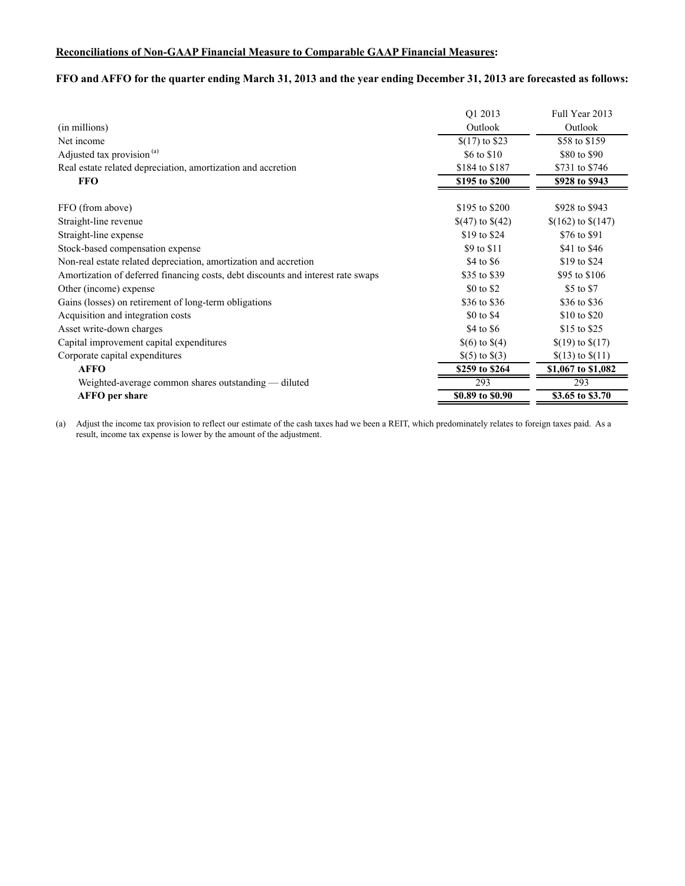### **Reconciliations of Non-GAAP Financial Measure to Comparable GAAP Financial Measures:**

## **FFO and AFFO for the quarter ending March 31, 2013 and the year ending December 31, 2013 are forecasted as follows:**

|                                                                                  | Q1 2013            | Full Year 2013       |
|----------------------------------------------------------------------------------|--------------------|----------------------|
| (in millions)                                                                    | Outlook            | Outlook              |
| Net income                                                                       | $$(17)$ to \$23    | \$58 to \$159        |
| Adjusted tax provision <sup>(a)</sup>                                            | \$6 to \$10        | \$80 to \$90         |
| Real estate related depreciation, amortization and accretion                     | \$184 to \$187     | \$731 to \$746       |
| <b>FFO</b>                                                                       | \$195 to \$200     | \$928 to \$943       |
| FFO (from above)                                                                 | \$195 to \$200     | \$928 to \$943       |
| Straight-line revenue                                                            | $$(47)$ to $$(42)$ | $$(162)$ to $$(147)$ |
| Straight-line expense                                                            | \$19 to \$24       | \$76 to \$91         |
| Stock-based compensation expense                                                 | \$9 to \$11        | \$41 to \$46         |
| Non-real estate related depreciation, amortization and accretion                 | \$4 to \$6         | \$19 to \$24         |
| Amortization of deferred financing costs, debt discounts and interest rate swaps | \$35 to \$39       | \$95 to \$106        |
| Other (income) expense                                                           | \$0 to \$2         | \$5 to \$7           |
| Gains (losses) on retirement of long-term obligations                            | \$36 to \$36       | \$36 to \$36         |
| Acquisition and integration costs                                                | \$0 to \$4         | \$10 to \$20         |
| Asset write-down charges                                                         | \$4 to \$6         | \$15 to \$25         |
| Capital improvement capital expenditures                                         | $\$(6)$ to $\$(4)$ | $$(19)$ to $$(17)$   |
| Corporate capital expenditures                                                   | $\S(5)$ to $\S(3)$ | $(13)$ to $(11)$     |
| <b>AFFO</b>                                                                      | \$259 to \$264     | \$1,067 to \$1,082   |
| Weighted-average common shares outstanding — diluted                             | 293                | 293                  |
| <b>AFFO</b> per share                                                            | \$0.89 to \$0.90   | \$3.65 to \$3.70     |

(a) Adjust the income tax provision to reflect our estimate of the cash taxes had we been a REIT, which predominately relates to foreign taxes paid. As a result, income tax expense is lower by the amount of the adjustment.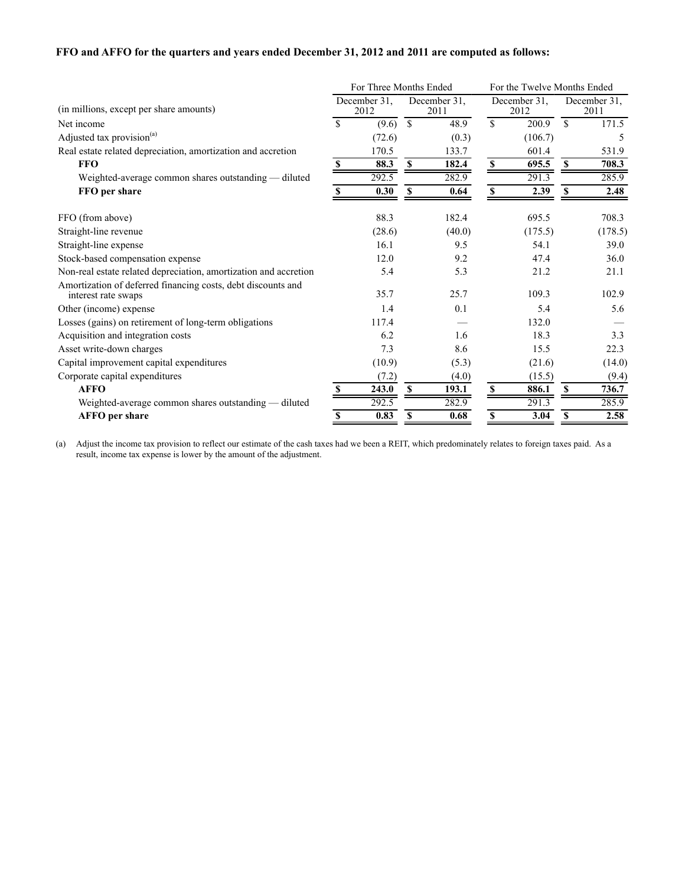### **FFO and AFFO for the quarters and years ended December 31, 2012 and 2011 are computed as follows:**

|                                                                                     |             | For Three Months Ended |               |                      |                           | For the Twelve Months Ended |              |                      |  |
|-------------------------------------------------------------------------------------|-------------|------------------------|---------------|----------------------|---------------------------|-----------------------------|--------------|----------------------|--|
| (in millions, except per share amounts)                                             |             | December 31,<br>2012   |               | December 31,<br>2011 |                           | December 31,<br>2012        |              | December 31,<br>2011 |  |
| Net income                                                                          | $\mathbf S$ | (9.6)                  | $\mathcal{S}$ | 48.9                 | $\mathbf S$               | 200.9                       | $\mathbb{S}$ | 171.5                |  |
| Adjusted tax provision <sup>(a)</sup>                                               |             | (72.6)                 |               | (0.3)                |                           | (106.7)                     |              | 5                    |  |
| Real estate related depreciation, amortization and accretion                        |             | 170.5                  |               | 133.7                |                           | 601.4                       |              | 531.9                |  |
| <b>FFO</b>                                                                          | \$          | 88.3                   | S             | 182.4                | $\boldsymbol{\mathsf{S}}$ | 695.5                       | S            | 708.3                |  |
| Weighted-average common shares outstanding - diluted                                |             | 292.5                  |               | 282.9                |                           | 291.3                       |              | 285.9                |  |
| FFO per share                                                                       | S           | 0.30                   | <b>S</b>      | 0.64                 | \$                        | 2.39                        |              | 2.48                 |  |
| FFO (from above)                                                                    |             | 88.3                   |               | 182.4                |                           | 695.5                       |              | 708.3                |  |
| Straight-line revenue                                                               |             | (28.6)                 |               | (40.0)               |                           | (175.5)                     |              | (178.5)              |  |
| Straight-line expense                                                               |             | 16.1                   |               | 9.5                  |                           | 54.1                        |              | 39.0                 |  |
| Stock-based compensation expense                                                    |             | 12.0                   |               | 9.2                  |                           | 47.4                        |              | 36.0                 |  |
| Non-real estate related depreciation, amortization and accretion                    |             | 5.4                    |               | 5.3                  |                           | 21.2                        |              | 21.1                 |  |
| Amortization of deferred financing costs, debt discounts and<br>interest rate swaps |             | 35.7                   |               | 25.7                 |                           | 109.3                       |              | 102.9                |  |
| Other (income) expense                                                              |             | 1.4                    |               | 0.1                  |                           | 5.4                         |              | 5.6                  |  |
| Losses (gains) on retirement of long-term obligations                               |             | 117.4                  |               |                      |                           | 132.0                       |              |                      |  |
| Acquisition and integration costs                                                   |             | 6.2                    |               | 1.6                  |                           | 18.3                        |              | 3.3                  |  |
| Asset write-down charges                                                            |             | 7.3                    |               | 8.6                  |                           | 15.5                        |              | 22.3                 |  |
| Capital improvement capital expenditures                                            |             | (10.9)                 |               | (5.3)                |                           | (21.6)                      |              | (14.0)               |  |
| Corporate capital expenditures                                                      |             | (7.2)                  |               | (4.0)                |                           | (15.5)                      |              | (9.4)                |  |
| <b>AFFO</b>                                                                         |             | 243.0                  | $\mathbf S$   | 193.1                | <sup>\$</sup>             | 886.1                       | -S           | 736.7                |  |
| Weighted-average common shares outstanding - diluted                                |             | 292.5                  |               | 282.9                |                           | 291.3                       |              | 285.9                |  |
| <b>AFFO</b> per share                                                               | S           | 0.83                   | S             | 0.68                 | \$                        | 3.04                        | S            | 2.58                 |  |

(a) Adjust the income tax provision to reflect our estimate of the cash taxes had we been a REIT, which predominately relates to foreign taxes paid. As a result, income tax expense is lower by the amount of the adjustment.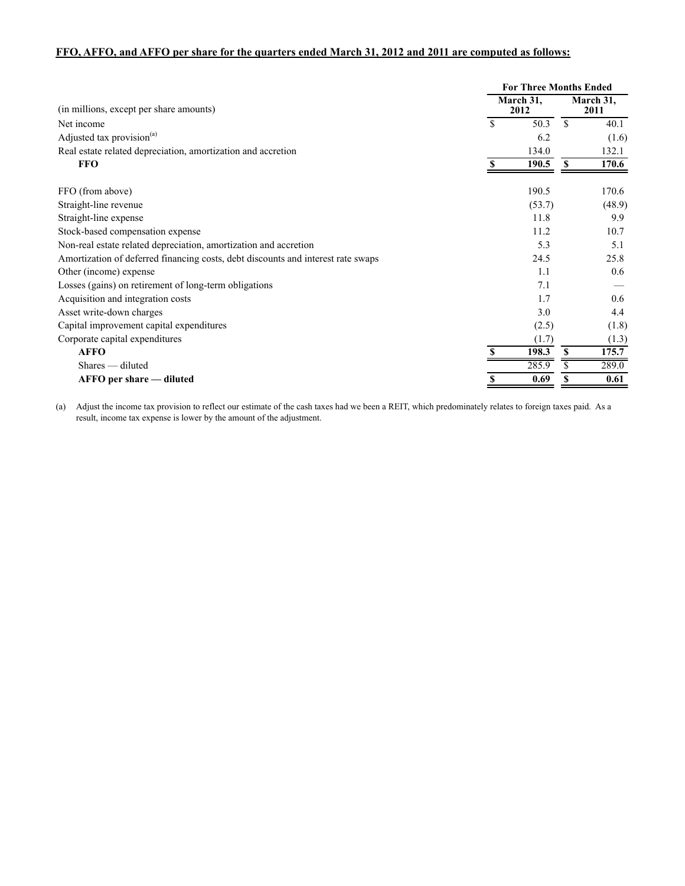### **FFO, AFFO, and AFFO per share for the quarters ended March 31, 2012 and 2011 are computed as follows:**

|                                                                                  |   | <b>For Three Months Ended</b> |                   |        |  |  |  |
|----------------------------------------------------------------------------------|---|-------------------------------|-------------------|--------|--|--|--|
| (in millions, except per share amounts)                                          |   | March 31,<br>2012             | March 31,<br>2011 |        |  |  |  |
| Net income                                                                       | S | 50.3                          | <sup>\$</sup>     | 40.1   |  |  |  |
| Adjusted tax provision <sup>(a)</sup>                                            |   | 6.2                           |                   | (1.6)  |  |  |  |
| Real estate related depreciation, amortization and accretion                     |   | 134.0                         |                   | 132.1  |  |  |  |
| <b>FFO</b>                                                                       | S | 190.5                         | S                 | 170.6  |  |  |  |
| FFO (from above)                                                                 |   | 190.5                         |                   | 170.6  |  |  |  |
| Straight-line revenue                                                            |   | (53.7)                        |                   | (48.9) |  |  |  |
| Straight-line expense                                                            |   | 11.8                          |                   | 9.9    |  |  |  |
| Stock-based compensation expense                                                 |   | 11.2                          |                   | 10.7   |  |  |  |
| Non-real estate related depreciation, amortization and accretion                 |   | 5.3                           |                   | 5.1    |  |  |  |
| Amortization of deferred financing costs, debt discounts and interest rate swaps |   | 24.5                          |                   | 25.8   |  |  |  |
| Other (income) expense                                                           |   | 1.1                           |                   | 0.6    |  |  |  |
| Losses (gains) on retirement of long-term obligations                            |   | 7.1                           |                   |        |  |  |  |
| Acquisition and integration costs                                                |   | 1.7                           |                   | 0.6    |  |  |  |
| Asset write-down charges                                                         |   | 3.0                           |                   | 4.4    |  |  |  |
| Capital improvement capital expenditures                                         |   | (2.5)                         |                   | (1.8)  |  |  |  |
| Corporate capital expenditures                                                   |   | (1.7)                         |                   | (1.3)  |  |  |  |
| <b>AFFO</b>                                                                      |   | 198.3                         | S                 | 175.7  |  |  |  |
| Shares — diluted                                                                 |   | 285.9                         | S                 | 289.0  |  |  |  |
| AFFO per share — diluted                                                         |   | 0.69                          |                   | 0.61   |  |  |  |
|                                                                                  |   |                               |                   |        |  |  |  |

(a) Adjust the income tax provision to reflect our estimate of the cash taxes had we been a REIT, which predominately relates to foreign taxes paid. As a result, income tax expense is lower by the amount of the adjustment.